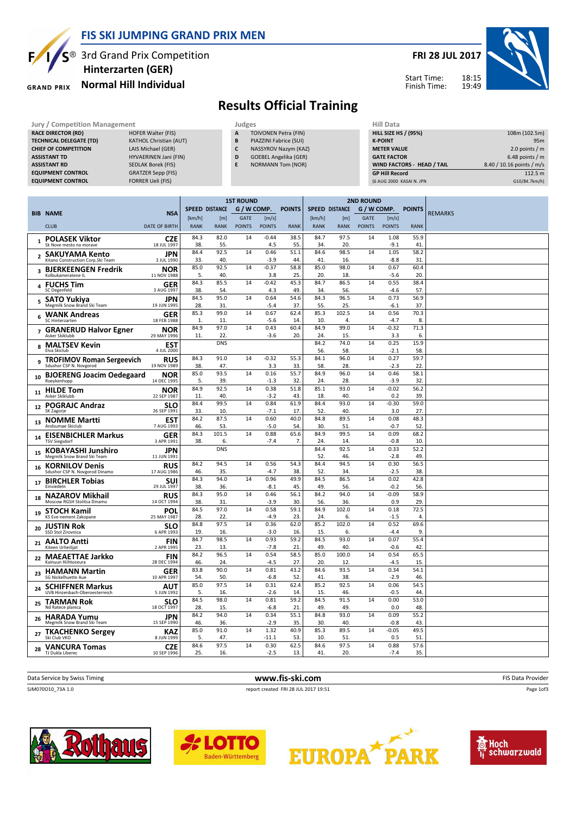

Hinterzarten (GER)

#### Normal Hill Individual **GRAND PRIX**



18:15 19:49



Start Time: Finish Time:

### Results Official Training

| Jury / Competition Management                                                                                                                                                                    | Judges                                                                                                                                                                                          |                       |                       |                                 |                        |                                                                                                                                           | <b>Hill Data</b>      |                       |                                 |                                                                                                                    |                                                               |                                                                                                               |  |                 |
|--------------------------------------------------------------------------------------------------------------------------------------------------------------------------------------------------|-------------------------------------------------------------------------------------------------------------------------------------------------------------------------------------------------|-----------------------|-----------------------|---------------------------------|------------------------|-------------------------------------------------------------------------------------------------------------------------------------------|-----------------------|-----------------------|---------------------------------|--------------------------------------------------------------------------------------------------------------------|---------------------------------------------------------------|---------------------------------------------------------------------------------------------------------------|--|-----------------|
| <b>RACE DIRECTOR (RD)</b><br><b>TECHNICAL DELEGATE (TD)</b><br><b>CHIEF OF COMPETITION</b><br><b>ASSISTANT TD</b><br><b>ASSISTANT RD</b><br><b>EQUIPMENT CONTROL</b><br><b>EQUIPMENT CONTROL</b> | <b>HOFER Walter (FIS)</b><br><b>KATHOL Christian (AUT)</b><br>LAIS Michael (GER)<br>HYVAERINEN Jani (FIN)<br><b>SEDLAK Borek (FIS)</b><br><b>GRATZER Sepp (FIS)</b><br><b>FORRER Ueli (FIS)</b> |                       |                       | A<br>B<br>c<br>D<br>E           |                        | <b>TOIVONEN Petra (FIN)</b><br>PIAZZINI Fabrice (SUI)<br>NASSYROV Nazym (KAZ)<br><b>GOEBEL Angelika (GER)</b><br><b>NORMANN Tom (NOR)</b> |                       |                       |                                 | <b>HILL SIZE HS / (95%)</b><br><b>K-POINT</b><br><b>METER VALUE</b><br><b>GATE FACTOR</b><br><b>GP Hill Record</b> | <b>WIND FACTORS - HEAD / TAIL</b><br>(6 AUG 2000 KASAI N. JPN | 108m (102.5m)<br>2.0 points / m<br>6.48 points / $m$<br>8.40 / 10.16 points / m/s<br>112.5 m<br>G10/84.7km/h) |  | 95 <sub>m</sub> |
| <b>BIB NAME</b>                                                                                                                                                                                  | <b>NSA</b>                                                                                                                                                                                      |                       | <b>SPEED DISTANCE</b> | <b>1ST ROUND</b><br>G / W COMP. |                        | <b>POINTS</b>                                                                                                                             |                       | <b>SPEED DISTANCE</b> | <b>2ND ROUND</b><br>G / W COMP. |                                                                                                                    | <b>POINTS</b>                                                 | <b>REMARKS</b>                                                                                                |  |                 |
| <b>CLUB</b>                                                                                                                                                                                      | DATE OF BIRTH                                                                                                                                                                                   | [km/h]<br><b>RANK</b> | [m]<br><b>RANK</b>    | <b>GATE</b><br><b>POINTS</b>    | [m/s]<br><b>POINTS</b> | <b>RANK</b>                                                                                                                               | [km/h]<br><b>RANK</b> | [m]<br><b>RANK</b>    | <b>GATE</b><br><b>POINTS</b>    | [m/s]<br><b>POINTS</b>                                                                                             | <b>RANK</b>                                                   |                                                                                                               |  |                 |
| <b>POLASEK Viktor</b><br>Sk Nove mesto na morave                                                                                                                                                 | <b>CZE</b><br>18 JUL 1997                                                                                                                                                                       | 84.3<br>38.           | 82.0<br>55.           | 14                              | $-0.44$<br>4.5         | 38.5<br>55.                                                                                                                               | 84.7<br>34.           | 97.5<br>20.           | 14                              | 1.08<br>$-9.1$                                                                                                     | 55.9<br>41                                                    |                                                                                                               |  |                 |
| <b>SAKUYAMA Kento</b><br>$\overline{ }$<br>Kitano Construction Corp.Ski Team                                                                                                                     | <b>JPN</b><br>3 JUL 1990                                                                                                                                                                        | 84.4<br>33.           | 92.5<br>40.           | 14                              | 0.46<br>$-3.9$         | 51.1<br>44.                                                                                                                               | 84.6<br>41.           | 98.5<br>16.           | 14                              | 1.05<br>$-8.8$                                                                                                     | 58.2<br>31                                                    |                                                                                                               |  |                 |
| <b>BJERKEENGEN Fredrik</b><br>з<br>Kolbukameratene II                                                                                                                                            | <b>NOR</b><br>11 NOV 1988                                                                                                                                                                       | 85.0<br>5.            | 92.5<br>40.           | 14                              | $-0.37$<br>3.8         | 58.8<br>25.                                                                                                                               | 85.0<br>20.           | 98.0<br>18.           | 14                              | 0.67<br>$-5.6$                                                                                                     | 60.4<br>20                                                    |                                                                                                               |  |                 |
| 4 FUCHS Tim<br><b>SC Degenfeld</b>                                                                                                                                                               | <b>GER</b><br>3 AUG 1997                                                                                                                                                                        | 84.3<br>38.           | 85.5<br>54.           | 14                              | $-0.42$<br>4.3         | 45.3<br>49.                                                                                                                               | 84.7<br>34.           | 86.5<br>56.           | 14                              | 0.55<br>$-4.6$                                                                                                     | 38.4<br>57.                                                   |                                                                                                               |  |                 |
| SATO Yukiya<br>5.<br>Megmilk Snow Brand Ski Team                                                                                                                                                 | <b>JPN</b><br>19 JUN 1995                                                                                                                                                                       | 84.5<br>28.           | 95.0<br>31.           | 14                              | 0.64<br>$-5.4$         | 54.6<br>37.                                                                                                                               | 84.3<br>55.           | 96.5<br>25.           | 14                              | 0.73<br>$-6.1$                                                                                                     | 56.9<br>37                                                    |                                                                                                               |  |                 |
| <b>WANK Andreas</b><br>6<br>SC Hinterzarten                                                                                                                                                      | <b>GER</b><br>18 FEB 1988                                                                                                                                                                       | 85.3<br>1.            | 99.0<br>11.           | 14                              | 0.67<br>$-5.6$         | 62.4<br>14.                                                                                                                               | 85.3<br>10.           | 102.5<br>4.           | 14                              | 0.56<br>$-4.7$                                                                                                     | 70.3<br>8.                                                    |                                                                                                               |  |                 |
| <b>GRANERUD Halvor Egner</b><br>Asker Skiklubb                                                                                                                                                   | <b>NOR</b><br>29 MAY 1996                                                                                                                                                                       | 84.9<br>11.           | 97.0<br>22.           | 14                              | 0.43<br>$-3.6$         | 60.4<br>20.                                                                                                                               | 84.9<br>24.           | 99.0<br>15.           | 14                              | $-0.32$<br>3.3                                                                                                     | 71.3<br>6.                                                    |                                                                                                               |  |                 |
| <b>MALTSEV Kevin</b><br>8<br>Elva Skiclub                                                                                                                                                        | <b>EST</b><br>4 JUL 2000                                                                                                                                                                        |                       | <b>DNS</b>            |                                 |                        |                                                                                                                                           | 84.2<br>56.           | 74.0<br>58.           | 14                              | 0.25<br>$-2.1$                                                                                                     | 15.9<br>58                                                    |                                                                                                               |  |                 |

| QUIPMENT CONTROL                                                | <b>FORRER Ueli (FIS)</b>  |                      |                       |                            |                        |               |             |                       |               |                        | (6 AUG 2000 KASAI N. JPN | G10/84.7km/h)  |
|-----------------------------------------------------------------|---------------------------|----------------------|-----------------------|----------------------------|------------------------|---------------|-------------|-----------------------|---------------|------------------------|--------------------------|----------------|
|                                                                 |                           |                      |                       |                            |                        |               |             |                       |               |                        |                          |                |
|                                                                 |                           |                      |                       | <b>1ST ROUND</b>           |                        |               |             | <b>2ND ROUND</b>      |               |                        |                          |                |
| <b>IB NAME</b>                                                  | <b>NSA</b>                | [km/h]               | <b>SPEED DISTANCE</b> | G / W COMP.<br><b>GATE</b> |                        | <b>POINTS</b> | [km/h]      | <b>SPEED DISTANCE</b> | <b>GATE</b>   | G / W COMP.            | <b>POINTS</b>            | <b>REMARKS</b> |
| <b>CLUB</b>                                                     | <b>DATE OF BIRTH</b>      | <b>RANK</b>          | [m]<br><b>RANK</b>    | <b>POINTS</b>              | [m/s]<br><b>POINTS</b> | <b>RANK</b>   | <b>RANK</b> | [m]<br><b>RANK</b>    | <b>POINTS</b> | [m/s]<br><b>POINTS</b> | <b>RANK</b>              |                |
| <b>POLASEK Viktor</b><br>$\mathbf{1}$                           | <b>CZE</b>                | 84.3                 | 82.0                  | 14                         | $-0.44$                | 38.5          | 84.7        | 97.5                  | 14            | 1.08                   | 55.9                     |                |
| Sk Nove mesto na morave                                         | 18 JUL 1997               | 38.<br>84.4          | 55.<br>92.5           | 14                         | 4.5<br>0.46            | 55.<br>51.1   | 34.<br>84.6 | 20.<br>98.5           | 14            | $-9.1$<br>1.05         | 41<br>58.2               |                |
| 2 SAKUYAMA Kento<br>Kitano Construction Corp.Ski Team           | <b>JPN</b><br>3 JUL 1990  | 33                   | 40.                   |                            | $-3.9$                 | 44.           | 41.         | 16.                   |               | $-8.8$                 | 31                       |                |
| <b>BJERKEENGEN Fredrik</b><br>3<br>Kolbukameratene IL           | <b>NOR</b><br>11 NOV 1988 | 85.0<br>5.           | 92.5<br>40.           | 14                         | $-0.37$<br>3.8         | 58.8<br>25.   | 85.0<br>20. | 98.0<br>18.           | 14            | 0.67<br>$-5.6$         | 60.4<br>20.              |                |
| 4 FUCHS Tim                                                     | <b>GER</b>                | 84.3                 | 85.5                  | 14                         | $-0.42$                | 45.3          | 84.7        | 86.5                  | 14            | 0.55                   | 38.4                     |                |
| SC Degenfeld<br><b>SATO Yukiya</b>                              | 3 AUG 1997<br><b>JPN</b>  | 38.<br>84.5          | 54.<br>95.0           | 14                         | 4.3<br>0.64            | 49.<br>54.6   | 34.<br>84.3 | 56.<br>96.5           | 14            | $-4.6$<br>0.73         | 57.<br>56.9              |                |
| 5<br>Megmilk Snow Brand Ski Team                                | 19 JUN 1995               | 28                   | 31                    |                            | $-5.4$                 | 37.           | 55.         | 25.                   |               | $-6.1$                 | 37.                      |                |
| 6 WANK Andreas<br>SC Hinterzarten                               | <b>GER</b><br>18 FEB 1988 | 85.3<br>$\mathbf{1}$ | 99.0<br>11.           | 14                         | 0.67<br>$-5.6$         | 62.4<br>14    | 85.3<br>10. | 102.5<br>4.           | 14            | 0.56<br>$-4.7$         | 70.3<br>8.               |                |
| 7 GRANERUD Halvor Egner                                         | <b>NOR</b>                | 84.9                 | 97.0                  | 14                         | 0.43                   | 60.4          | 84.9        | 99.0                  | 14            | $-0.32$                | 71.3                     |                |
| Asker Skiklubb                                                  | 29 MAY 1996               | 11.                  | 22.                   |                            | -3.6                   | 20.           | 24.         | 15.                   |               | 3.3                    | 6.                       |                |
| 8 MALTSEV Kevin<br>Elva Skiclub                                 | <b>EST</b><br>4 JUL 2000  |                      | <b>DNS</b>            |                            |                        |               | 84.2<br>56. | 74.0<br>58.           | 14            | 0.25<br>$-2.1$         | 15.9<br>58.              |                |
| g TROFIMOV Roman Sergeevich                                     | <b>RUS</b>                | 84.3                 | 91.0                  | 14                         | $-0.32$                | 55.3          | 84.1        | 96.0                  | 14            | 0.27                   | 59.7                     |                |
| Sdushor CSP N. Novgorod<br>10 BJOERENG Joacim Oedegaard         | 19 NOV 1989<br><b>NOR</b> | 38<br>85.0           | 47.<br>93.5           | 14                         | 3.3<br>0.16            | 33.<br>55.7   | 58.<br>84.9 | 28.<br>96.0           | 14            | $-2.3$<br>0.46         | 22.<br>58.1              |                |
| Roeykenhopp                                                     | 14 DEC 1995               | 5.                   | 39                    |                            | $-1.3$                 | 32.           | 24.         | 28.                   |               | $-3.9$                 | 32.                      |                |
| 11 HILDE Tom<br>Asker Skiklubb                                  | <b>NOR</b><br>22 SEP 1987 | 84.9<br>11.          | 92.5<br>40.           | 14                         | 0.38<br>$-3.2$         | 51.8<br>43.   | 85.1<br>18. | 93.0<br>40.           | 14            | $-0.02$<br>0.2         | 56.2<br>39.              |                |
| 12 POGRAJC Andraz                                               | <b>SLO</b>                | 84.4                 | 99.5                  | 14                         | 0.84                   | 61.9          | 84.4        | 93.0                  | 14            | $-0.30$                | 59.0                     |                |
| SK Zagorje                                                      | 26 SEP 1991               | 33.                  | 10.                   |                            | $-7.1$                 | 17.           | 52.         | 40.                   |               | 3.0                    | 27                       |                |
| 13 NOMME Martti<br>Andsumae Skiclub                             | <b>EST</b><br>7 AUG 1993  | 84.2<br>46.          | 87.5<br>53.           | 14                         | 0.60<br>$-5.0$         | 40.0<br>54.   | 84.8<br>30  | 89.5<br>51            | 14            | 0.08<br>$-0.7$         | 48.3<br>52               |                |
| 14 EISENBICHLER Markus                                          | <b>GER</b>                | 84.3                 | 101.5                 | 14                         | 0.88                   | 65.6          | 84.9        | 99.5                  | 14            | 0.09                   | 68.2                     |                |
| <b>TSV Siegsdorf</b>                                            | 3 APR 1991                | 38.                  | 6.<br><b>DNS</b>      |                            | $-7.4$                 | 7.            | 24.<br>84.4 | 14.<br>92.5           | 14            | $-0.8$<br>0.33         | 10.<br>52.2              |                |
| 15 KOBAYASHI Junshiro<br>Megmilk Snow Brand Ski Team            | <b>JPN</b><br>11 JUN 1991 |                      |                       |                            |                        |               | 52.         | 46.                   |               | $-2.8$                 | 49.                      |                |
| 16 KORNILOV Denis                                               | <b>RUS</b>                | 84.2                 | 94.5                  | 14                         | 0.56                   | 54.3          | 84.4        | 94.5                  | 14            | 0.30                   | 56.5                     |                |
| Sdushor CSP N. Novgorod Dinamo                                  | 17 AUG 1986               | 46.                  | 35.<br>94.0           |                            | $-4.7$<br>0.96         | 38.           | 52.<br>84.5 | 34.<br>86.5           | 14            | $-2.5$<br>0.02         | 38.                      |                |
| 17 BIRCHLER Tobias<br>Finsiedeln                                | <b>SUI</b><br>29 JUL 1997 | 84.3<br>38.          | 36.                   | 14                         | $-8.1$                 | 49.9<br>45.   | 49.         | 56.                   |               | $-0.2$                 | 42.8<br>56.              |                |
| 18 NAZAROV Mikhail                                              | <b>RUS</b>                | 84.3                 | 95.0                  | 14                         | 0.46                   | 56.1          | 84.2        | 94.0                  | 14            | $-0.09$                | 58.9                     |                |
| Moscow RGSH Stolitsa Dinamo<br>19 STOCH Kamil                   | 14 OCT 1994<br>POL        | 38.<br>84.5          | 31<br>97.0            | 14                         | $-3.9$<br>0.58         | 30.<br>59.1   | 56.<br>84.9 | 36.<br>102.0          | 14            | 0.9<br>0.18            | 29.<br>72.5              |                |
| KS Eve-nement Zakopane                                          | 25 MAY 1987               | 28.                  | 22                    |                            | $-4.9$                 | 23.           | 24.         | 6.                    |               | $-1.5$                 | 4.                       |                |
| <b>JUSTIN Rok</b><br>20<br>SSD Stol Zirovnica                   | SLO<br>6 APR 1993         | 84.8<br>19.          | 97.5<br>16.           | 14                         | 0.36<br>$-3.0$         | 62.0<br>16.   | 85.2<br>15. | 102.0<br>6.           | 14            | 0.52<br>$-4.4$         | 69.6<br>9.               |                |
| 21 AALTO Antti                                                  | <b>FIN</b>                | 84.7                 | 98.5                  | 14                         | 0.93                   | 59.2          | 84.5        | 93.0                  | 14            | 0.07                   | 55.4                     |                |
| Kiteen Urheilijat                                               | 2 APR 1995                | 23.                  | 13.                   |                            | $-7.8$                 | 21.           | 49.         | 40.                   |               | $-0.6$                 | 42.                      |                |
| <b>MAEAETTAE Jarkko</b><br>22<br>Kainuun Hiihtoseura            | <b>FIN</b><br>28 DEC 1994 | 84.2<br>46.          | 96.5<br>24            | 14                         | 0.54<br>$-4.5$         | 58.5<br>27.   | 85.0<br>20. | 100.0<br>12.          | 14            | 0.54<br>$-4.5$         | 65.5<br>15               |                |
| 23 HAMANN Martin                                                | GER                       | 83.8                 | 90.0                  | 14                         | 0.81                   | 43.2          | 84.6        | 93.5                  | 14            | 0.34                   | 54.1                     |                |
| SG Nickelhuette Aue                                             | 10 APR 1997               | 54.                  | 50.                   |                            | $-6.8$                 | 52.           | 41.         | 38.                   |               | $-2.9$                 | 46.                      |                |
| <b>SCHIFFNER Markus</b><br>24<br>UVB Hinzenbach-Oberoesterreich | AUT<br>5 JUN 1992         | 85.0<br>5.           | 97.5<br>16.           | 14                         | 0.31<br>$-2.6$         | 62.4<br>14.   | 85.2<br>15. | 92.5<br>46.           | 14            | 0.06<br>$-0.5$         | 54.5<br>44               |                |
| <b>TARMAN Rok</b><br>25                                         | <b>SLO</b>                | 84.5                 | 98.0                  | 14                         | 0.81                   | 59.2          | 84.5        | 91.5                  | 14            | 0.00                   | 53.0                     |                |
| Nd Ratece planica<br>26 HARADA Yumu                             | 18 OCT 1997<br><b>JPN</b> | 28.<br>84.2          | 15.<br>94.0           | 14                         | $-6.8$<br>0.34         | 21.<br>55.1   | 49.<br>84.8 | 49.<br>93.0           | 14            | 0.0<br>0.09            | 48.<br>55.2              |                |
| Megmilk Snow Brand Ski Team                                     | 15 SEP 1990               | 46.                  | 36.                   |                            | $-2.9$                 | 35.           | 30.         | 40.                   |               | $-0.8$                 | 43.                      |                |
| 27 TKACHENKO Sergey                                             | <b>KAZ</b><br>8 JUN 1999  | 85.0                 | 91.0                  | 14                         | 1.32                   | 40.9          | 85.3        | 89.5                  | 14            | $-0.05$                | 49.5                     |                |
| Ski Club VKO                                                    |                           | 5.                   | 47.                   |                            | $-11.1$                | 53.           | 10.         | 51.                   |               | 0.5                    | 51.                      |                |

Data Service by Swiss Timing **WWW.fis-ski.com www.fis-ski.com FIS Data Provider** SJM070O10\_73A 1.0 report created FRI 28 JUL 2017 19:51

10 SE

 $\overline{CZE}$  84.6<br>P 1996 25.



28 VANCURA Tomas

14 0.88 57.6<br>-7.4 35.  $-7.4$ 

Page 1of3





 $\frac{5.}{1.6}$  47.

 $16.$ 

 $\frac{2.7}{13}$ 

14 0.30 62.5<br>-2.5 13.

84.6 97.5<br>41. 20.  $20.$ 



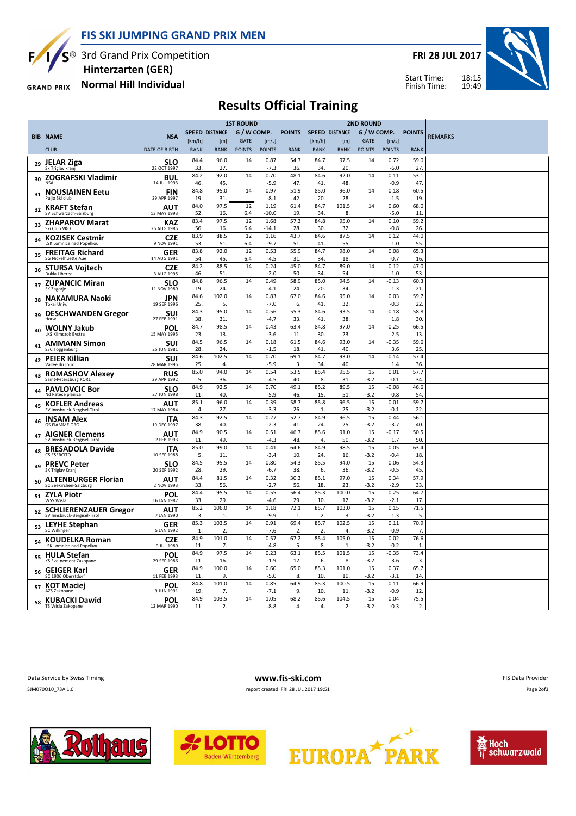FIS SKI JUMPING GRAND PRIX MEN



S<sup>®</sup> 3rd Grand Prix Competition

**GRAND PRIX** 

### Normal Hill Individual Hinterzarten (GER)

FRI 28 JUL 2017



18:15 19:49 Start Time: Finish Time:

# Results Official Training

|    |                                                             |                           |              |                       | <b>1ST ROUND</b> |                 |                      |                          | <b>2ND ROUND</b>      |               |                   |                      |                |
|----|-------------------------------------------------------------|---------------------------|--------------|-----------------------|------------------|-----------------|----------------------|--------------------------|-----------------------|---------------|-------------------|----------------------|----------------|
|    | <b>BIB NAME</b>                                             | <b>NSA</b>                |              | <b>SPEED DISTANCE</b> | G / W COMP.      |                 | <b>POINTS</b>        |                          | <b>SPEED DISTANCE</b> |               |                   | G / W COMP. POINTS   | <b>REMARKS</b> |
|    |                                                             |                           | [km/h]       | [m]                   | <b>GATE</b>      | [m/s]           |                      | [km/h]                   | [m]                   | <b>GATE</b>   | [m/s]             |                      |                |
|    | <b>CLUB</b>                                                 | <b>DATE OF BIRTH</b>      | <b>RANK</b>  | <b>RANK</b>           | <b>POINTS</b>    | <b>POINTS</b>   | <b>RANK</b>          | <b>RANK</b>              | <b>RANK</b>           | <b>POINTS</b> | <b>POINTS</b>     | <b>RANK</b>          |                |
| 29 | <b>JELAR Ziga</b>                                           | <b>SLO</b>                | 84.4         | 96.0                  | 14               | 0.87            | 54.7                 | 84.7                     | 97.5                  | 14            | 0.72              | 59.0                 |                |
|    | Sk Triglav kran                                             | 22 OCT 1997               | 33.<br>84.2  | 27.<br>92.0           | 14               | $-7.3$<br>0.70  | 36.                  | 34.<br>84.6              | 20.<br>92.0           | 14            | $-6.0$<br>0.11    | 27<br>53.1           |                |
| 30 | <b>ZOGRAFSKI Vladimir</b>                                   | BUL<br>14 JUL 1993        | 46.          | 45.                   |                  | $-5.9$          | 48.1<br>47           | 41                       | 48.                   |               | $-0.9$            | 47                   |                |
| 31 | <b>NOUSIAINEN Eetu</b>                                      | <b>FIN</b>                | 84.8         | 95.0                  | 14               | 0.97            | 51.9                 | 85.0                     | 96.0                  | 14            | 0.18              | 60.5                 |                |
|    | Puijo Ski club                                              | 29 APR 1997               | 19.          | 31.                   |                  | $-8.1$          | 42                   | 20.                      | 28.                   |               | $-1.5$            | 19.                  |                |
| 32 | <b>KRAFT Stefan</b><br>SV Schwarzach-Salzburg               | AUT<br>13 MAY 1993        | 84.0<br>52.  | 97.5<br>16.           | 12<br>6.4        | 1.19<br>$-10.0$ | 61.4<br>19.          | 84.7<br>34.              | 101.5<br>8.           | 14            | 0.60<br>$-5.0$    | 68.0<br>11           |                |
|    | <b>ZHAPAROV Marat</b>                                       | KAZ                       | 83.4         | 97.5                  | 12               | 1.68            | 57.3                 | 84.8                     | 95.0                  | 14            | 0.10              | 59.2                 |                |
| 33 | Ski Club VKO                                                | 25 AUG 1985               | 56.          | 16.                   | 6.4              | $-14.1$         | 28                   | 30.                      | 32.                   |               | $-0.8$            | 26.                  |                |
| 34 | <b>KOZISEK Cestmir</b>                                      | <b>CZE</b>                | 83.9         | 88.5                  | 12               | 1.16            | 43.7                 | 84.6                     | 87.5                  | 14            | 0.12              | 44.0                 |                |
|    | LSK Lomnice nad Popelkou                                    | 9 NOV 1991                | 53.<br>83.8  | 51.<br>92.0           | 6.4<br>12        | $-9.7$<br>0.53  | 51<br>55.9           | 41<br>84.7               | 55.<br>98.0           | 14            | $-1.0$<br>0.08    | 55.<br>65.3          |                |
| 35 | <b>FREITAG Richard</b><br>SG Nickelhuette Aue               | <b>GER</b><br>14 AUG 1991 | 54.          | 45.                   | 6.4              | $-4.5$          | 31                   | 34.                      | 18.                   |               | $-0.7$            | 16                   |                |
| 36 | <b>STURSA Voitech</b>                                       | <b>CZE</b>                | 84.2         | 88.5                  | 14               | 0.24            | 45.0                 | 84.7                     | 89.0                  | 14            | 0.12              | 47.0                 |                |
|    | Dukla Liberec                                               | 3 AUG 1995                | 46.<br>84.8  | 51.<br>96.5           | 14               | $-2.0$<br>0.49  | 50.<br>58.9          | 34.<br>85.0              | 54.<br>94.5           | 14            | $-1.0$<br>$-0.13$ | 53.<br>60.3          |                |
| 37 | <b>ZUPANCIC Miran</b><br>SK Zagorje                         | <b>SLO</b><br>11 NOV 1989 | 19.          | 24.                   |                  | $-4.1$          | 24                   | 20.                      | 34.                   |               | 1.3               | 21                   |                |
| 38 | <b>NAKAMURA Naoki</b>                                       | <b>JPN</b>                | 84.6         | 102.0                 | 14               | 0.83            | 67.0                 | 84.6                     | 95.0                  | 14            | 0.03              | 59.7                 |                |
|    | Tokai Univ.                                                 | 19 SEP 1996               | 25.          | 5.                    |                  | $-7.0$          | 6.                   | 41.                      | 32.                   |               | $-0.3$            | 22                   |                |
| 39 | <b>DESCHWANDEN Gregor</b><br>Horw                           | <b>SUI</b><br>27 FEB 1991 | 84.3<br>38.  | 95.0<br>31.           | 14               | 0.56<br>$-4.7$  | 55.3<br>33.          | 84.6<br>41.              | 93.5<br>38.           | 14            | $-0.18$<br>1.8    | 58.8<br>30.          |                |
|    | <b>WOLNY Jakub</b>                                          | <b>POL</b>                | 84.7         | 98.5                  | 14               | 0.43            | 63.4                 | 84.8                     | 97.0                  | 14            | $-0.25$           | 66.5                 |                |
| 40 | LKS Klimczok Bystra                                         | 15 MAY 1995               | 23.          | 13.                   |                  | $-3.6$          | 11                   | 30.                      | 23.                   |               | 2.5               | 13.                  |                |
| 41 | <b>AMMANN Simon</b><br><b>SSC Toggenburg</b>                | SUI<br>25 JUN 1981        | 84.5<br>28.  | 96.5<br>24.           | 14               | 0.18<br>$-1.5$  | 61.5<br>18           | 84.6<br>41               | 93.0<br>40.           | 14            | $-0.35$<br>3.6    | 59.6<br>25.          |                |
|    | <b>PEIER Killian</b>                                        | SUI                       | 84.6         | 102.5                 | 14               | 0.70            | 69.1                 | 84.7                     | 93.0                  | 14            | $-0.14$           | 57.4                 |                |
| 42 | Vallee du Joux                                              | 28 MAR 1995               | 25.          | 4.                    |                  | $-5.9$          | 3                    | 34.                      | 40.                   |               | 1.4               | 36                   |                |
| 43 | <b>ROMASHOV Alexey</b>                                      | <b>RUS</b>                | 85.0         | 94.0                  | 14               | 0.54            | 53.5                 | 85.4                     | 95.5                  | 15            | 0.01              | 57.7                 |                |
|    | Saint-Petersburg KOR1                                       | 29 APR 1992<br><b>SLO</b> | 5.<br>84.9   | 36.<br>92.5           | 14               | $-4.5$<br>0.70  | 40.<br>49.1          | 8.<br>85.2               | 31<br>89.5            | $-3.2$<br>15  | $-0.1$<br>$-0.08$ | 34.<br>46.6          |                |
| 44 | <b>PAVLOVCIC Bor</b><br>Nd Ratece planica                   | 27 JUN 1998               | 11.          | 40.                   |                  | $-5.9$          | 46.                  | 15.                      | 51.                   | $-3.2$        | 0.8               | 54.                  |                |
| 45 | <b>KOFLER Andreas</b>                                       | AUT                       | 85.1         | 96.0                  | 14               | 0.39            | 58.7                 | 85.8                     | 96.5                  | 15            | 0.01              | 59.7                 |                |
|    | SV Innsbruck-Bergisel-Tirol                                 | 17 MAY 1984               | 4.<br>84.3   | 27.<br>92.5           | 14               | $-3.3$<br>0.27  | 26.<br>52.7          | $\mathbf{1}$<br>84.9     | 25.<br>96.5           | $-3.2$<br>15  | $-0.1$<br>0.44    | 22<br>56.1           |                |
| 46 | <b>INSAM Alex</b><br><b>GS FIAMME ORO</b>                   | <b>ITA</b><br>19 DEC 1997 | 38.          | 40.                   |                  | $-2.3$          | 41                   | 24.                      | 25.                   | $-3.2$        | $-3.7$            | 40.                  |                |
| 47 | <b>AIGNER Clemens</b>                                       | AUT                       | 84.9         | 90.5                  | 14               | 0.51            | 46.7                 | 85.6                     | 91.0                  | 15            | $-0.17$           | 50.5                 |                |
|    | SV Innsbruck-Bergisel-Tirol                                 | 2 FEB 1993                | 11.<br>85.0  | 49.<br>99.0           | 14               | $-4.3$<br>0.41  | 48.<br>64.6          | 4.<br>84.9               | 50.<br>98.5           | -3.2<br>15    | 1.7<br>0.05       | 50.<br>63.4          |                |
| 48 | <b>BRESADOLA Davide</b><br>CS ESERCITO                      | <b>ITA</b><br>10 SEP 1988 | 5.           | 11.                   |                  | $-3.4$          | 10.                  | 24.                      | 16.                   | $-3.2$        | $-0.4$            | 18                   |                |
| 49 | <b>PREVC Peter</b>                                          | <b>SLO</b>                | 84.5         | 95.5                  | 14               | 0.80            | 54.3                 | 85.5                     | 94.0                  | 15            | 0.06              | 54.3                 |                |
|    | SK Triglav Krani                                            | 20 SEP 1992               | 28.          | 29.                   |                  | $-6.7$          | 38.                  | 6.                       | 36.                   | $-3.2$        | $-0.5$            | 45                   |                |
| 50 | <b>ALTENBURGER Florian</b><br>SC Seekirchen-Salzburg        | <b>AUT</b><br>2 NOV 1993  | 84.4<br>33.  | 81.5<br>56.           | 14               | 0.32<br>$-2.7$  | 30.3<br>56.          | 85.1<br>18.              | 97.0<br>23.           | 15<br>$-3.2$  | 0.34<br>$-2.9$    | 57.9<br>33.          |                |
| 51 | <b>ZYLA Piotr</b>                                           | POL                       | 84.4         | 95.5                  | 14               | 0.55            | 56.4                 | 85.3                     | 100.0                 | 15            | 0.25              | 64.7                 |                |
|    | WSS Wisla                                                   | 16 JAN 1987               | 33.          | 29.                   |                  | $-4.6$          | 29.                  | 10.                      | 12.                   | $-3.2$        | $-2.1$            | 17                   |                |
| 52 | <b>SCHLIERENZAUER Gregor</b><br>SV Innsbruck-Bergisel-Tirol | AUT<br>7 JAN 1990         | 85.2<br>3.   | 106.0<br>1.           | 14               | 1.18<br>$-9.9$  | 72.1<br>$\mathbf{1}$ | 85.7<br>2.               | 103.0<br>3.           | 15<br>$-3.2$  | 0.15<br>$-1.3$    | 71.5<br>5.           |                |
|    | <b>LEYHE Stephan</b>                                        | <b>GER</b>                | 85.3         | 103.5                 | 14               | 0.91            | 69.4                 | 85.7                     | 102.5                 | 15            | 0.11              | 70.9                 |                |
| 53 | SC Willingen                                                | 5 JAN 1992                | $\mathbf{1}$ | 2.                    |                  | $-7.6$          | 2.                   | $\overline{\phantom{a}}$ | 4.                    | $-3.2$        | $-0.9$            | 7 <sub>1</sub>       |                |
| 54 | <b>KOUDELKA Roman</b><br>LSK Lomnice nad Popelkou           | <b>CZE</b><br>9 JUL 1989  | 84.9<br>11.  | 101.0<br>7.           | 14               | 0.57<br>$-4.8$  | 67.2<br>5.           | 85.4<br>8.               | 105.0<br>1            | 15<br>$-3.2$  | 0.02<br>$-0.2$    | 76.6<br>$\mathbf{1}$ |                |
|    | <b>HULA Stefan</b>                                          | POL                       | 84.9         | 97.5                  | 14               | 0.23            | 63.1                 | 85.5                     | 101.5                 | 15            | $-0.35$           | 73.4                 |                |
| 55 | KS Eve-nement Zakopane                                      | 29 SEP 1986               | 11.          | 16.                   |                  | $-1.9$          | 12                   | 6.                       | 8.                    | $-3.2$        | 3.6               | 3.                   |                |
| 56 | <b>GEIGER Karl</b><br>SC 1906 Oberstdorf                    | <b>GER</b><br>11 FEB 1993 | 84.9         | 100.0                 | 14               | 0.60            | 65.0                 | 85.3                     | 101.0                 | 15            | 0.37              | 65.7                 |                |
|    |                                                             | POL                       | 11.<br>84.8  | 9.<br>101.0           | 14               | $-5.0$<br>0.85  | 8.<br>64.9           | 10.<br>85.3              | 10.<br>100.5          | $-3.2$<br>15  | $-3.1$<br>0.11    | 14.<br>66.9          |                |
|    | <sub>57</sub> KOT Maciej<br>AZS Zakopane                    | 9 JUN 1991                | 19.          | 7.                    |                  | $-7.1$          | 9.                   | 10.                      | 11                    | $-3.2$        | $-0.9$            | 12                   |                |
| 58 | <b>KUBACKI Dawid</b>                                        | POL                       | 84.9         | 103.5                 | 14               | 1.05            | 68.2                 | 85.6                     | 104.5                 | 15            | 0.04              | 75.5                 |                |
|    | TS Wisla Zakopane                                           | 12 MAR 1990               | 11.          | 2.                    |                  | $-8.8$          | 4.                   | 4.                       | 2.                    | $-3.2$        | $-0.3$            | 2.                   |                |

Data Service by Swiss Timing **EXECUTE:** The Service by Swiss Timing FIS Data Provider

Page 2of3

SJM070O10\_73A 1.0 report created FRI 28 JUL 2017 19:51